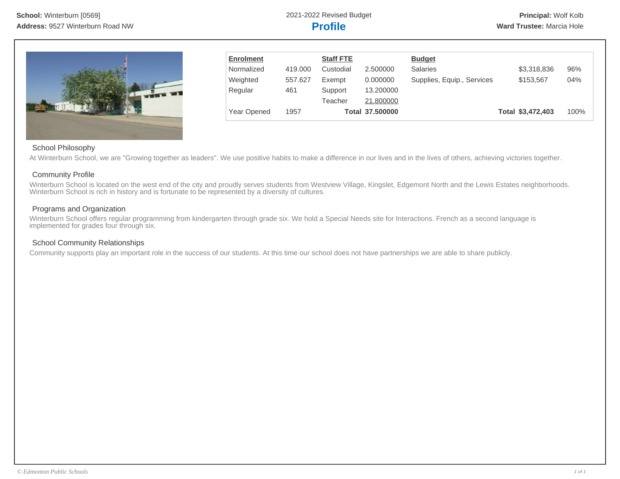

| <b>Enrolment</b> |         | <b>Staff FTE</b> |                 | <b>Budget</b>              |                   |      |
|------------------|---------|------------------|-----------------|----------------------------|-------------------|------|
| Normalized       | 419,000 | Custodial        | 2.500000        | <b>Salaries</b>            | \$3,318,836       | 96%  |
| Weighted         | 557.627 | Exempt           | 0.000000        | Supplies, Equip., Services | \$153,567         | 04%  |
| Regular          | 461     | Support          | 13.200000       |                            |                   |      |
|                  |         | Teacher          | 21,800000       |                            |                   |      |
| Year Opened      | 1957    |                  | Total 37.500000 |                            | Total \$3,472,403 | 100% |

### School Philosophy

At Winterburn School, we are "Growing together as leaders". We use positive habits to make a difference in our lives and in the lives of others, achieving victories together.

### Community Profile

Winterburn School is located on the west end of the city and proudly serves students from Westview Village, Kingslet, Edgemont North and the Lewis Estates neighborhoods. Winterburn School is rich in history and is fortunate to be represented by a diversity of cultures.

# Programs and Organization

Winterburn School offers regular programming from kindergarten through grade six. We hold a Special Needs site for Interactions. French as a second language is implemented for grades four through six.

## School Community Relationships

Community supports play an important role in the success of our students. At this time our school does not have partnerships we are able to share publicly.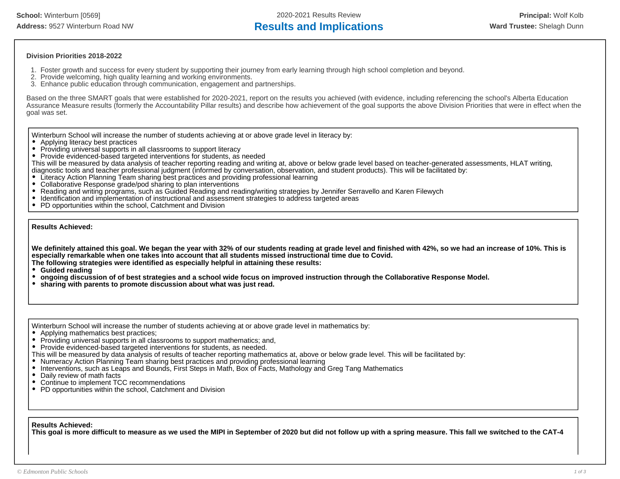**School:** Winterburn [0569] 2020-2021 Results Review **Principal:** Wolf Kolb Address: 9527 Winterburn Road NW **Results and Implications Ward Trustee:** Shelagh Dunn

#### **Division Priorities 2018-2022**

- 1. Foster growth and success for every student by supporting their journey from early learning through high school completion and beyond.
- 2. Provide welcoming, high quality learning and working environments.
- 3. Enhance public education through communication, engagement and partnerships.

Based on the three SMART goals that were established for 2020-2021, report on the results you achieved (with evidence, including referencing the school's Alberta Education Assurance Measure results (formerly the Accountability Pillar results) and describe how achievement of the goal supports the above Division Priorities that were in effect when the goal was set.

Winterburn School will increase the number of students achieving at or above grade level in literacy by:

- Applying literacy best practices
- Providing universal supports in all classrooms to support literacy
- Provide evidenced-based targeted interventions for students, as needed

This will be measured by data analysis of teacher reporting reading and writing at, above or below grade level based on teacher-generated assessments, HLAT writing, diagnostic tools and teacher professional judgment (informed by conversation, observation, and student products). This will be facilitated by:

- Literacy Action Planning Team sharing best practices and providing professional learning
- Collaborative Response grade/pod sharing to plan interventions
- Reading and writing programs, such as Guided Reading and reading/writing strategies by Jennifer Serravello and Karen Filewych
- Identification and implementation of instructional and assessment strategies to address targeted areas
- PD opportunities within the school, Catchment and Division

**Results Achieved:**

**We definitely attained this goal. We began the year with 32% of our students reading at grade level and finished with 42%, so we had an increase of 10%. This is especially remarkable when one takes into account that all students missed instructional time due to Covid. The following strategies were identified as especially helpful in attaining these results:**

**Guided reading**

- **ongoing discussion of of best strategies and a school wide focus on improved instruction through the Collaborative Response Model.**
- **sharing with parents to promote discussion about what was just read.**

Winterburn School will increase the number of students achieving at or above grade level in mathematics by:

- Applying mathematics best practices;
- Providing universal supports in all classrooms to support mathematics; and,
- Provide evidenced-based targeted interventions for students, as needed.
- This will be measured by data analysis of results of teacher reporting mathematics at, above or below grade level. This will be facilitated by:
- Numeracy Action Planning Team sharing best practices and providing professional learning
- Interventions, such as Leaps and Bounds, First Steps in Math, Box of Facts, Mathology and Greg Tang Mathematics
- $\bullet$ Daily review of math facts
- Continue to implement TCC recommendations
- PD opportunities within the school, Catchment and Division

#### **Results Achieved:**

**This goal is more difficult to measure as we used the MIPI in September of 2020 but did not follow up with a spring measure. This fall we switched to the CAT-4**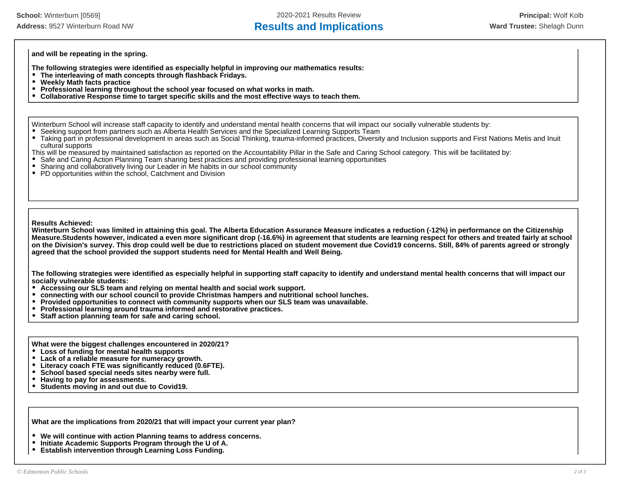# Address: 9527 Winterburn Road NW **Results and Implications Ward Trustee:** Shelagh Dunn

**and will be repeating in the spring.** 

**The following strategies were identified as especially helpful in improving our mathematics results:**

- **The interleaving of math concepts through flashback Fridays.**
- **Weekly Math facts practice**
- **Professional learning throughout the school year focused on what works in math.**
- **Collaborative Response time to target specific skills and the most effective ways to teach them.**

Winterburn School will increase staff capacity to identify and understand mental health concerns that will impact our socially vulnerable students by:

- Seeking support from partners such as Alberta Health Services and the Specialized Learning Supports Team
- Taking part in professional development in areas such as Social Thinking, trauma-informed practices, Diversity and Inclusion supports and First Nations Metis and Inuit cultural supports

This will be measured by maintained satisfaction as reported on the Accountability Pillar in the Safe and Caring School category. This will be facilitated by:

- Safe and Caring Action Planning Team sharing best practices and providing professional learning opportunities
- Sharing and collaboratively living our Leader in Me habits in our school community
- PD opportunities within the school, Catchment and Division

#### **Results Achieved:**

**Winterburn School was limited in attaining this goal. The Alberta Education Assurance Measure indicates a reduction (-12%) in performance on the Citizenship Measure.Students however, indicated a even more significant drop (-16.6%) in agreement that students are learning respect for others and treated fairly at school on the Division's survey. This drop could well be due to restrictions placed on student movement due Covid19 concerns. Still, 84% of parents agreed or strongly agreed that the school provided the support students need for Mental Health and Well Being.** 

**The following strategies were identified as especially helpful in supporting staff capacity to identify and understand mental health concerns that will impact our socially vulnerable students:**

- **Accessing our SLS team and relying on mental health and social work support.**
- **connecting with our school council to provide Christmas hampers and nutritional school lunches.**
- **Provided opportunities to connect with community supports when our SLS team was unavailable.**
- **Professional learning around trauma informed and restorative practices.**
- **Staff action planning team for safe and caring school.**  $\bullet$

**What were the biggest challenges encountered in 2020/21?**

- **Loss of funding for mental health supports**
- **Lack of a reliable measure for numeracy growth.**  $\bullet$
- $\bullet$ **Literacy coach FTE was significantly reduced (0.6FTE).**
- **School based special needs sites nearby were full.**
- **Having to pay for assessments.**  $\bullet$
- $\bullet$ **Students moving in and out due to Covid19.**

**What are the implications from 2020/21 that will impact your current year plan?**

- **We will continue with action Planning teams to address concerns.**
- $\bullet$ **Initiate Academic Supports Program through the U of A.**
- $\bullet$ **Establish intervention through Learning Loss Funding.**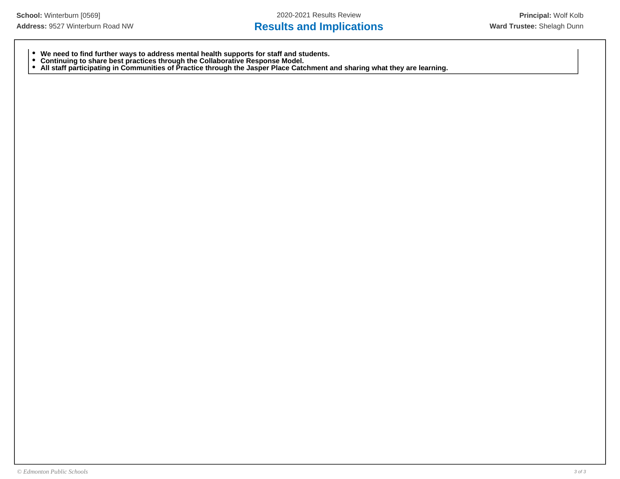# Address: 9527 Winterburn Road NW **Results and Implications Ward Trustee:** Shelagh Dunn

- **We need to find further ways to address mental health supports for staff and students.**
- **Continuing to share best practices through the Collaborative Response Model.**
- **All staff participating in Communities of Practice through the Jasper Place Catchment and sharing what they are learning.**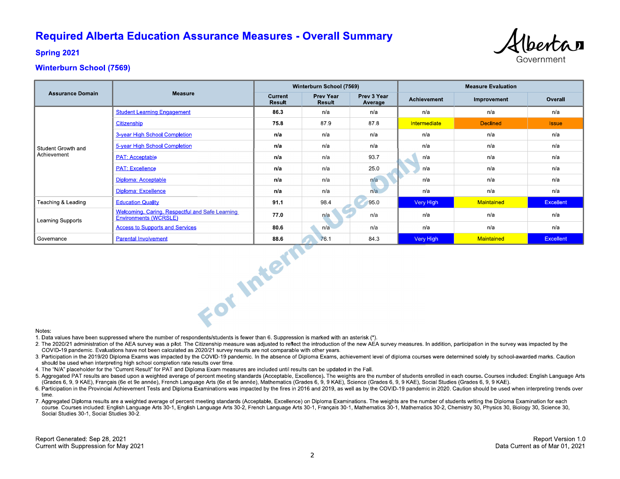# **Required Alberta Education Assurance Measures - Overall Summary**



**Spring 2021** 

## **Winterburn School (7569)**

|                                   |                                                                          | Winterburn School (7569) |                            |                        | <b>Measure Evaluation</b> |                 |                  |
|-----------------------------------|--------------------------------------------------------------------------|--------------------------|----------------------------|------------------------|---------------------------|-----------------|------------------|
| <b>Assurance Domain</b>           | <b>Measure</b>                                                           | Current<br><b>Result</b> | <b>Prev Year</b><br>Result | Prev 3 Year<br>Average | Achievement               | Improvement     | Overall          |
| Student Growth and<br>Achievement | <b>Student Learning Engagement</b>                                       | 86.3                     | n/a                        | n/a                    | n/a                       | n/a             | n/a              |
|                                   | Citizenship                                                              | 75.8                     | 879                        | 87.8                   | Intermediate              | <b>Declined</b> | <b>Issue</b>     |
|                                   | 3-year High School Completion                                            | n/a                      | n/a                        | n/a                    | n/a                       | n/a             | n/a              |
|                                   | 5-year High School Completion                                            | n/a                      | n/a                        | n/a                    | n/a                       | n/a             | n/a              |
|                                   | <b>PAT: Acceptable</b>                                                   | n/a                      | n/a                        | 93.7                   | n/a                       | n/a             | n/a              |
|                                   | <b>PAT: Excellence</b>                                                   | n/a                      | n/a                        | 25.0                   | n/a                       | n/a             | n/a              |
|                                   | Diploma: Acceptable                                                      | n/a                      | n/a                        | n/a                    | n/a                       | n/a             | n/a              |
|                                   | Diploma: Excellence                                                      | n/a                      | n/a                        | n/a                    | n/a                       | n/a             | n/a              |
| Teaching & Leading                | <b>Education Quality</b>                                                 | 91.1                     | 98.4                       | 95.0                   | Very High                 | Maintained      | <b>Excellent</b> |
| Learning Supports                 | Welcoming, Caring, Respectful and Safe Learning<br>Environments (WCRSLE) | 77.0                     | n/a                        | n/a                    | n/a                       | n/a             | n/a              |
|                                   | <b>Access to Supports and Services</b>                                   | 80.6                     | n/a                        | n/a                    | n/a                       | n/a             | n/a              |
| Governance                        | <b>Parental Involvement</b>                                              | 88.6                     | 76.1                       | 84.3                   | Very High                 | Maintained      | Excellent        |
| Notes.                            | For Intern                                                               |                          |                            |                        |                           |                 |                  |

#### Notes:

1. Data values have been suppressed where the number of respondents/students is fewer than 6. Suppression is marked with an asterisk (\*).

- 2. The 2020/21 administration of the AEA survey was a pilot. The Citizenship measure was adjusted to reflect the introduction of the new AEA survey measures. In addition, participation in the survey was impacted by the COVID-19 pandemic. Evaluations have not been calculated as 2020/21 survey results are not comparable with other years.
- 3. Participation in the 2019/20 Diploma Exams was impacted by the COVID-19 pandemic. In the absence of Diploma Exams, achievement level of diploma courses were determined solely by school-awarded marks. Caution should be used when interpreting high school completion rate results over time.
- 4. The "N/A" placeholder for the "Current Result" for PAT and Diploma Exam measures are included until results can be updated in the Fall.
- 5. Aggregated PAT results are based upon a weighted average of percent meeting standards (Acceptable, Excellence). The weights are the number of students enrolled in each course. Courses included: English Language Arts (Grades 6, 9, 9 KAE), Français (6e et 9e année), French Language Arts (6e et 9e année), Mathematics (Grades 6, 9, 9 KAE), Science (Grades 6, 9, 9 KAE), Social Studies (Grades 6, 9, 9 KAE).
- 6. Participation in the Provincial Achievement Tests and Diploma Examinations was impacted by the fires in 2016 and 2019, as well as by the COVID-19 pandemic in 2020. Caution should be used when interpreting trends over time
- 7. Aggregated Diploma results are a weighted average of percent meeting standards (Acceptable, Excellence) on Diploma Examinations. The weights are the number of students writing the Diploma Examination for each course. Courses included: English Language Arts 30-1, English Language Arts 30-2, French Language Arts 30-1, Français 30-1, Mathematics 30-1, Mathematics 30-2, Chemistry 30, Physics 30, Biology 30, Science 30, Social Studies 30-1, Social Studies 30-2.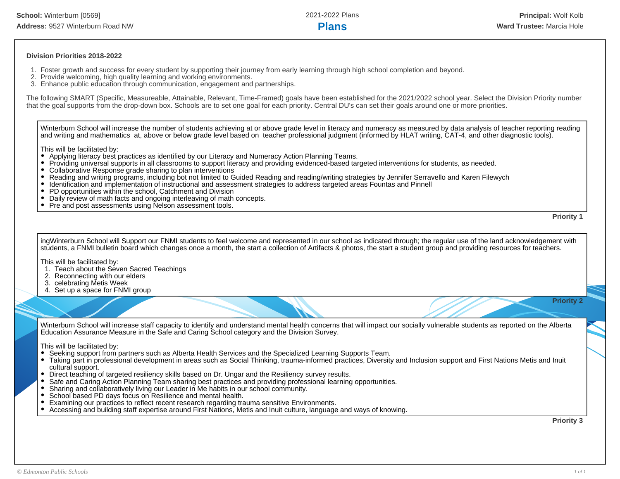### **Division Priorities 2018-2022**

- 1. Foster growth and success for every student by supporting their journey from early learning through high school completion and beyond.
- 2. Provide welcoming, high quality learning and working environments.
- 3. Enhance public education through communication, engagement and partnerships.

The following SMART (Specific, Measureable, Attainable, Relevant, Time-Framed) goals have been established for the 2021/2022 school year. Select the Division Priority number that the goal supports from the drop-down box. Schools are to set one goal for each priority. Central DU's can set their goals around one or more priorities.

Winterburn School will increase the number of students achieving at or above grade level in literacy and numeracy as measured by data analysis of teacher reporting reading and writing and mathematics at, above or below grade level based on teacher professional judgment (informed by HLAT writing, CAT-4, and other diagnostic tools).

This will be facilitated by:

- Applying literacy best practices as identified by our Literacy and Numeracy Action Planning Teams.
- $\bullet$ Providing universal supports in all classrooms to support literacy and providing evidenced-based targeted interventions for students, as needed.
- Collaborative Response grade sharing to plan interventions
- Reading and writing programs, including bot not limited to Guided Reading and reading/writing strategies by Jennifer Serravello and Karen Filewych
- Identification and implementation of instructional and assessment strategies to address targeted areas Fountas and Pinnell
- PD opportunities within the school, Catchment and Division
- Daily review of math facts and ongoing interleaving of math concepts.
- Pre and post assessments using Nelson assessment tools.

**Priority 1**

**Priority 2**

ingWinterburn School will Support our FNMI students to feel welcome and represented in our school as indicated through; the regular use of the land acknowledgement with students, a FNMI bulletin board which changes once a month, the start a collection of Artifacts & photos, the start a student group and providing resources for teachers.

This will be facilitated by:

- 1. Teach about the Seven Sacred Teachings
- 2. Reconnecting with our elders
- 3. celebrating Metis Week
- 4. Set up a space for FNMI group

Winterburn School will increase staff capacity to identify and understand mental health concerns that will impact our socially vulnerable students as reported on the Alberta

Education Assurance Measure in the Safe and Caring School category and the Division Survey.

This will be facilitated by:

- Seeking support from partners such as Alberta Health Services and the Specialized Learning Supports Team.
- Taking part in professional development in areas such as Social Thinking, trauma-informed practices, Diversity and Inclusion support and First Nations Metis and Inuit cultural support.
- $\bullet$ Direct teaching of targeted resiliency skills based on Dr. Ungar and the Resiliency survey results.
- Safe and Caring Action Planning Team sharing best practices and providing professional learning opportunities.
- Sharing and collaboratively living our Leader in Me habits in our school community.
- School based PD days focus on Resilience and mental health.
- Examining our practices to reflect recent research regarding trauma sensitive Environments.
- Accessing and building staff expertise around First Nations, Metis and Inuit culture, language and ways of knowing.

**Priority 3**